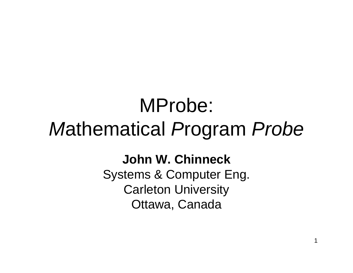### MProbe: *M*athematical *P*rogram *Probe*

### **John W. Chinneck**

Systems & Computer Eng. Carleton University Ottawa, Canada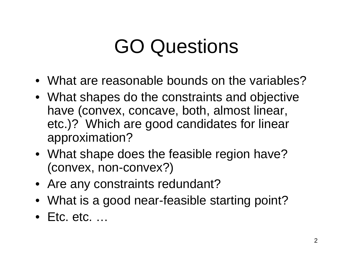### GO Questions

- •What are reasonable bounds on the variables?
- What shapes do the constraints and objective have (convex, concave, both, almost linear, etc.)? Which are good candidates for linear approximation?
- What shape does the feasible region have? (convex, non-convex?)
- Are any constraints redundant?
- What is a good near-feasible starting point?
- •Etc. etc. …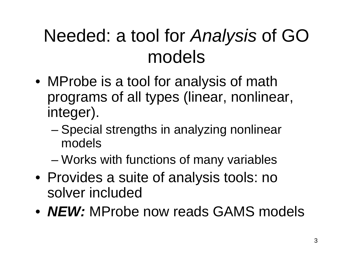### Needed: a tool for *Analysis* of GO models

- MProbe is a tool for analysis of math programs of all types (linear, nonlinear, integer).
	- and the state of the state – Special strengths in analyzing nonlinear models
	- and the state of the state – Works with functions of many variables
- Provides a suite of analysis tools: no solver included
- *NEW:* MProbe now reads GAMS models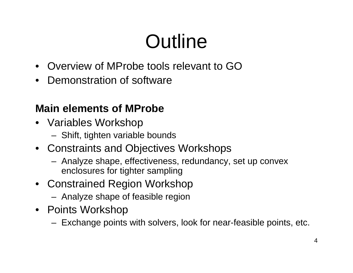### **Outline**

- Overview of MProbe tools relevant to GO
- •Demonstration of software

### **Main elements of MProbe**

- Variables Workshop
	- Shift, tighten variable bounds
- Constraints and Objectives Workshops
	- Analyze shape, effectiveness, redundancy, set up convex enclosures for tighter sampling
- Constrained Region Workshop
	- $-$  Analyze shape of feasible region
- Points Workshop
	- Exchange points with solvers, look for near-feasible points, etc.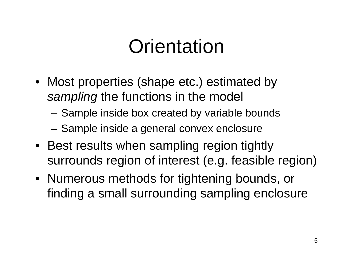### **Orientation**

- Most properties (shape etc.) estimated by *sampling* the functions in the model
	- –- Sample inside box created by variable bounds
	- –– Sample inside a general convex enclosure
- Best results when sampling region tightly surrounds region of interest (e.g. feasible region)
- Numerous methods for tightening bounds, or finding a small surrounding sampling enclosure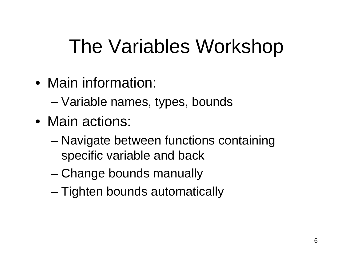### The Variables Workshop

- Main information:
	- –– Variable names, types, bounds
- •Main actions:
	- and the state of the state Navigate between functions containing specific variable and back
	- and the state of Change bounds manually
	- and the state of the state – Tighten bounds automatically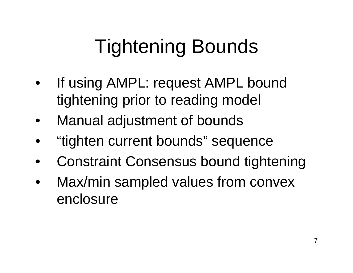# Tightening Bounds

- • If using AMPL: request AMPL bound tightening prior to reading model
- •Manual adjustment of bounds
- •"tighten current bounds" sequence
- •Constraint Consensus bound tightening
- $\bullet$ Max/min sampled values from convex enclosure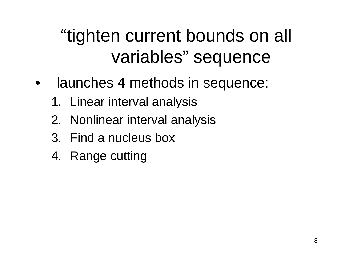### "tighten current bounds on all variables" sequence

- • launches 4 methods in sequence:
	- 1. Linear interval analysis
	- 2. Nonlinear interval analysis
	- 3. Find a nucleus box
	- 4. Range cutting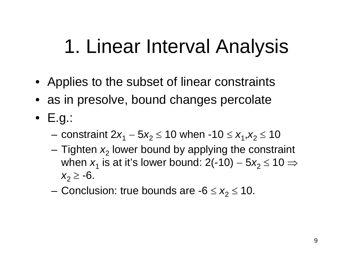### 1. Linear Interval Analysis

- Applies to the subset of linear constraints
- as in presolve, bound changes percolate
- E.g.:
	- constraint 2*x*<sub>1</sub> − 5*x*<sub>2</sub> ≤ 10 when -10 ≤ *x*<sub>1</sub>,*x*<sub>2</sub> ≤ 10
	- and the state of the Tighten  $x_2$  lower bound by applying the constraint when  $x_{1}$  is at it's lower bound: 2(-10) − 5 *<sup>x</sup>*2≤ 10 ⇒ *x*<sub>2</sub> ≥ -6.
	- $-$  Conclusion: true bounds are  $-6 \leq x_{2} \leq 10$ .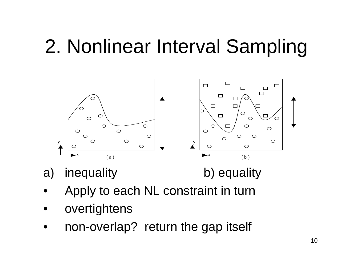### 2. Nonlinear Interval Sampling



- a) inequality b) equality
- 
- •Apply to each NL constraint in turn
- •overtightens
- $\bullet$ non-overlap? return the gap itself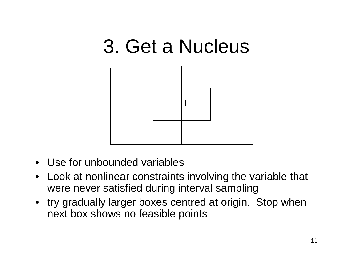# 3. Get a Nucleus

- •Use for unbounded variables
- • Look at nonlinear constraints involving the variable that were never satisfied during interval sampling
- try gradually larger boxes centred at origin. Stop when next box shows no feasible points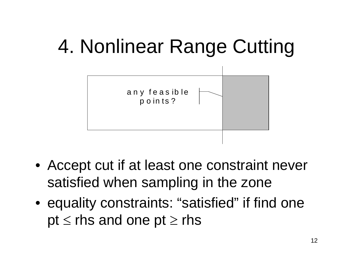### 4. Nonlinear Range Cutting



- Accept cut if at least one constraint never satisfied when sampling in the zone
- equality constraints: "satisfied" if find one  $\mathsf{pt} \leq \mathsf{rhs}$  and one  $\mathsf{pt} \geq \mathsf{rhs}$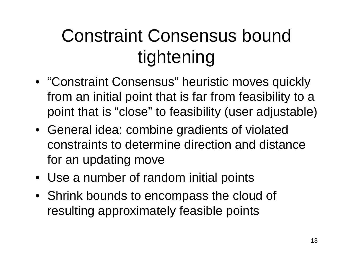### Constraint Consensus bound tightening

- "Constraint Consensus" heuristic moves quickly from an initial point that is far from feasibility to a point that is "close" to feasibility (user adjustable)
- General idea: combine gradients of violated constraints to determine direction and distance for an updating move
- Use a number of random initial points
- Shrink bounds to encompass the cloud of resulting approximately feasible points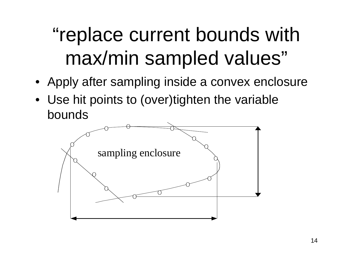## "replace current bounds with max/min sampled values"

- Apply after sampling inside a convex enclosure
- Use hit points to (over)tighten the variable bounds

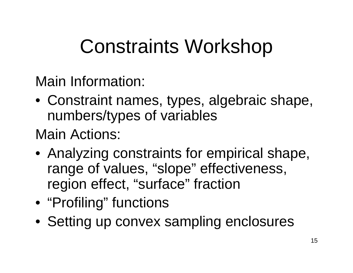### Constraints Workshop

Main Information:

• Constraint names, types, algebraic shape, numbers/types of variables

### Main Actions:

- Analyzing constraints for empirical shape, range of values, "slope" effectiveness, region effect, "surface" fraction
- "Profiling" functions
- Setting up convex sampling enclosures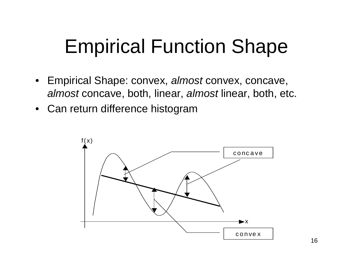### Empirical Function Shape

- Empirical Shape: convex, *almost* convex, concave, *almost* concave, both, linear, *almost* linear, both, etc.
- Can return difference histogram

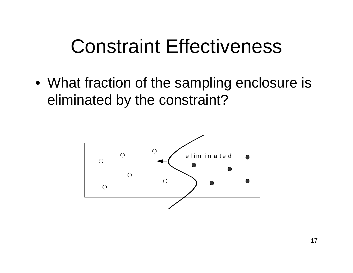### Constraint Effectiveness

• What fraction of the sampling enclosure is eliminated by the constraint?

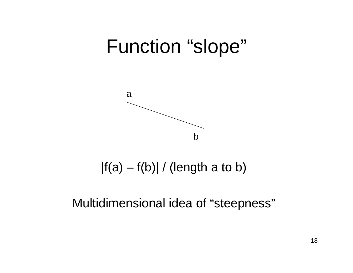### Function "slope"



|f(a) – f(b)| / (length a to b)

Multidimensional idea of "steepness"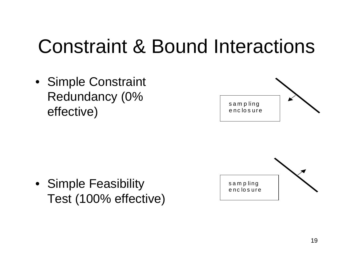### Constraint & Bound Interactions

• Simple Constraint Redundancy (0% effective)

• Simple Feasibility Test (100% effective)



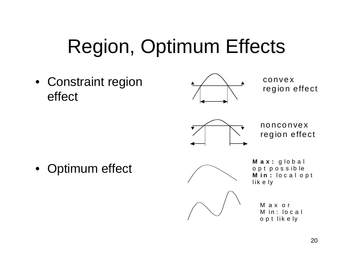# Region, Optimum Effects

• Constraint region effect



convexre g io n effe ct



nonconvexr eg io n effe c t

•Optimum effect



**M ax:** g l o bal opt possible **M** i**n** : local opt lik e ly

> M ax o r M in : l oca l opt lik e ly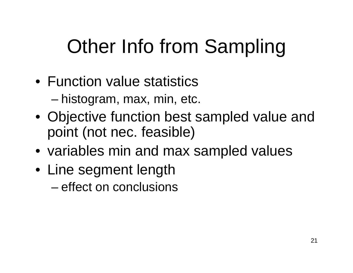## Other Info from Sampling

- •Function value statisticsand the state of the state – histogram, max, min, etc.
- Objective function best sampled value and point (not nec. feasible)
- variables min and max sampled values
- Line segment length –effect on conclusions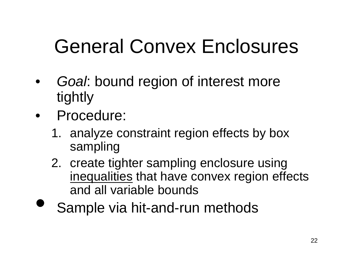### General Convex Enclosures

- • *Goal*: bound region of interest more tightly
- •Procedure:

 $\bullet$ 

- 1. analyze constraint region effects by box sampling
- 2. create tighter sampling enclosure using inequalities that have convex region effects and all variable bounds
- Sample via hit-and-run methods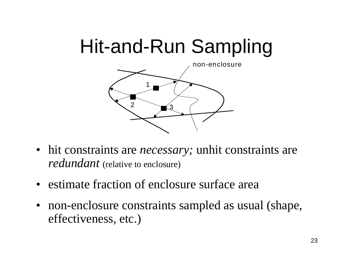### Hit-and-Run Sampling



- hit constraints are *necessary*; unhit constraints are *redundant* (relative to enclosure)
- estimate fraction of enclosure surface area
- non-enclosure constraints sampled as usual (shape, effectiveness, etc.)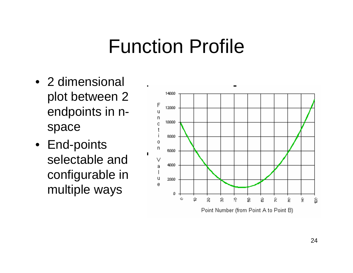### Function Profile

- •2 dimensional plot between 2 endpoints in nspace
- End-points selectable and configurable in multiple ways

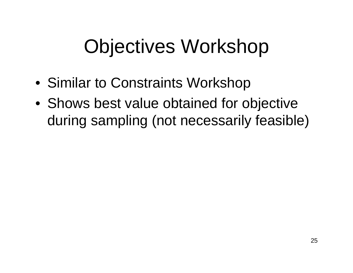### Objectives Workshop

- Similar to Constraints Workshop
- Shows best value obtained for objective during sampling (not necessarily feasible)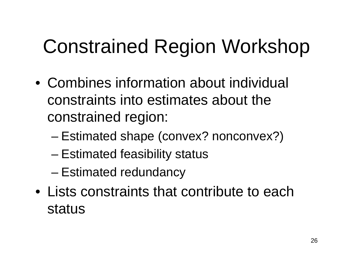# Constrained Region Workshop

- •Combines information about individual constraints into estimates about the constrained region:
	- and the state of the state Estimated shape (convex? nonconvex?)
	- and the state of the state – Estimated feasibility status
	- –– Estimated redundancy
- Lists constraints that contribute to each status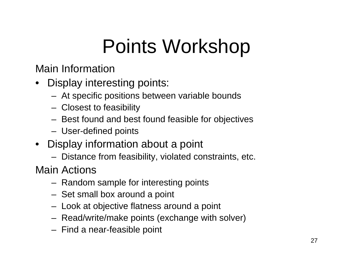## Points Workshop

Main Information

- Display interesting points:
	- At specific positions between variable bounds
	- Closest to feasibility
	- Best found and best found feasible for objectives
	- U s er-defined points
- Display information about a point
	- Distance from feasibility, violated constraints, etc.

Main Actions

- Random sample for interesting points
- Set small box around a point
- – $-$  Look at objective flatness around a point
- Read/write/make points (exchange with solver)
- Find a near-feasible point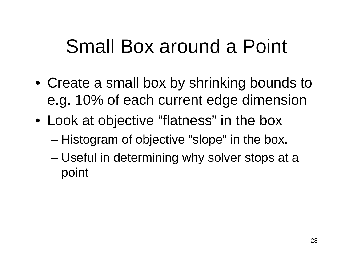### Small Box around a Point

- Create a small box by shrinking bounds to e.g. 10% of each current edge dimension
- Look at objective "flatness" in the box
	- –– Histogram of objective "slope" in the box.
	- and the state of the state Useful in determining why solver stops at a point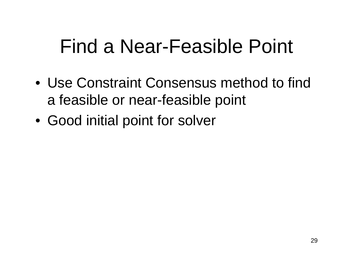### Find a Near-Feasible Point

- •Use Constraint Consensus method to find a feasible or near-feasible point
- Good initial point for solver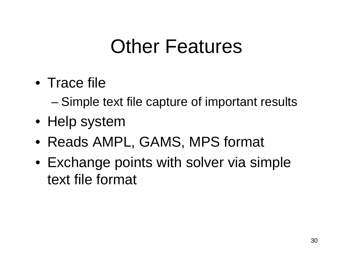### Other Features

- Trace file
	- –Simple text file capture of important results
- Help system
- Reads AMPL, GAMS, MPS format
- Exchange points with solver via simple text file format